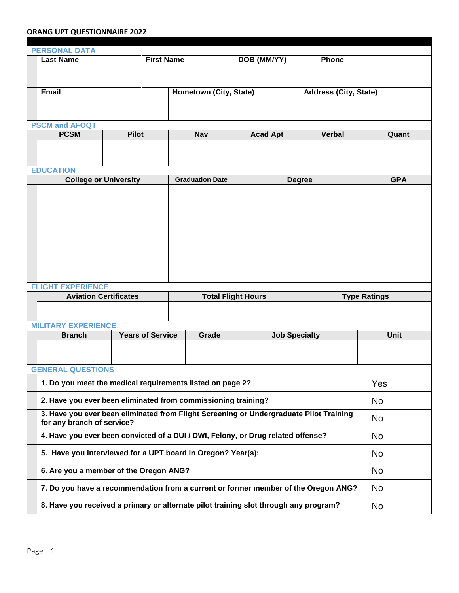## **ORANG UPT QUESTIONNAIRE 2022**

| <b>PERSONAL DATA</b>       |                                                                                                                      |  |                   |                        |                      |                              |                     |  |
|----------------------------|----------------------------------------------------------------------------------------------------------------------|--|-------------------|------------------------|----------------------|------------------------------|---------------------|--|
|                            | <b>Last Name</b>                                                                                                     |  | <b>First Name</b> |                        | DOB (MM/YY)          | Phone                        |                     |  |
|                            |                                                                                                                      |  |                   |                        |                      |                              |                     |  |
|                            | <b>Email</b>                                                                                                         |  |                   | Hometown (City, State) |                      | <b>Address (City, State)</b> |                     |  |
|                            |                                                                                                                      |  |                   |                        |                      |                              |                     |  |
| <b>PSCM and AFOQT</b>      |                                                                                                                      |  |                   |                        |                      |                              |                     |  |
|                            | <b>PCSM</b><br><b>Pilot</b>                                                                                          |  |                   | <b>Nav</b>             | <b>Acad Apt</b>      | <b>Verbal</b>                | Quant               |  |
|                            |                                                                                                                      |  |                   |                        |                      |                              |                     |  |
|                            | <b>EDUCATION</b>                                                                                                     |  |                   |                        |                      |                              |                     |  |
|                            | <b>College or University</b><br><b>Graduation Date</b><br><b>Degree</b>                                              |  |                   |                        |                      |                              | <b>GPA</b>          |  |
|                            |                                                                                                                      |  |                   |                        |                      |                              |                     |  |
|                            |                                                                                                                      |  |                   |                        |                      |                              |                     |  |
|                            |                                                                                                                      |  |                   |                        |                      |                              |                     |  |
|                            |                                                                                                                      |  |                   |                        |                      |                              |                     |  |
|                            |                                                                                                                      |  |                   |                        |                      |                              |                     |  |
|                            |                                                                                                                      |  |                   |                        |                      |                              |                     |  |
|                            | <b>FLIGHT EXPERIENCE</b>                                                                                             |  |                   |                        |                      |                              |                     |  |
|                            | <b>Aviation Certificates</b><br><b>Total Flight Hours</b>                                                            |  |                   |                        |                      |                              | <b>Type Ratings</b> |  |
|                            |                                                                                                                      |  |                   |                        |                      |                              |                     |  |
| <b>MILITARY EXPERIENCE</b> |                                                                                                                      |  |                   |                        |                      |                              |                     |  |
|                            | <b>Years of Service</b><br><b>Branch</b>                                                                             |  |                   | Grade                  | <b>Job Specialty</b> |                              | <b>Unit</b>         |  |
|                            |                                                                                                                      |  |                   |                        |                      |                              |                     |  |
| <b>GENERAL QUESTIONS</b>   |                                                                                                                      |  |                   |                        |                      |                              |                     |  |
|                            | 1. Do you meet the medical requirements listed on page 2?                                                            |  |                   |                        |                      |                              | Yes                 |  |
|                            | 2. Have you ever been eliminated from commissioning training?                                                        |  |                   |                        |                      |                              | <b>No</b>           |  |
|                            | 3. Have you ever been eliminated from Flight Screening or Undergraduate Pilot Training<br>for any branch of service? |  |                   |                        |                      |                              | <b>No</b>           |  |
|                            | 4. Have you ever been convicted of a DUI / DWI, Felony, or Drug related offense?                                     |  |                   |                        |                      |                              | <b>No</b>           |  |
|                            | 5. Have you interviewed for a UPT board in Oregon? Year(s):                                                          |  |                   |                        |                      |                              | <b>No</b>           |  |
|                            | 6. Are you a member of the Oregon ANG?                                                                               |  |                   |                        |                      |                              | <b>No</b>           |  |
|                            | 7. Do you have a recommendation from a current or former member of the Oregon ANG?                                   |  |                   |                        |                      |                              | <b>No</b>           |  |
|                            | 8. Have you received a primary or alternate pilot training slot through any program?                                 |  |                   |                        |                      |                              | <b>No</b>           |  |